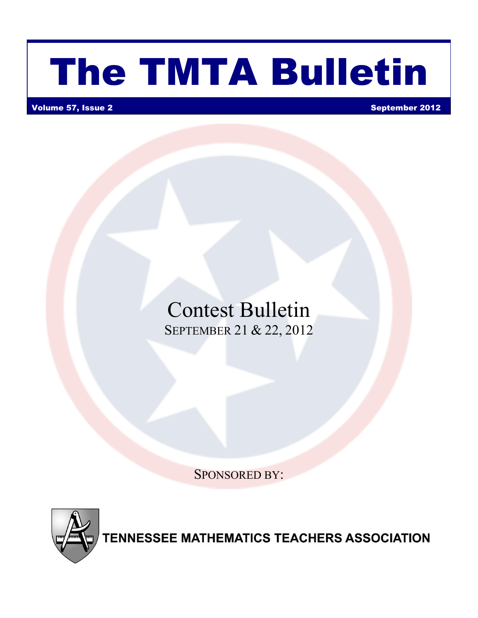# The TMTA Bulletin

Volume 57, Issue 2 September 2012

# Contest Bulletin SEPTEMBER 21 & 22, 2012

SPONSORED BY:



**TENNESSEE MATHEMATICS TEACHERS ASSOCIATION**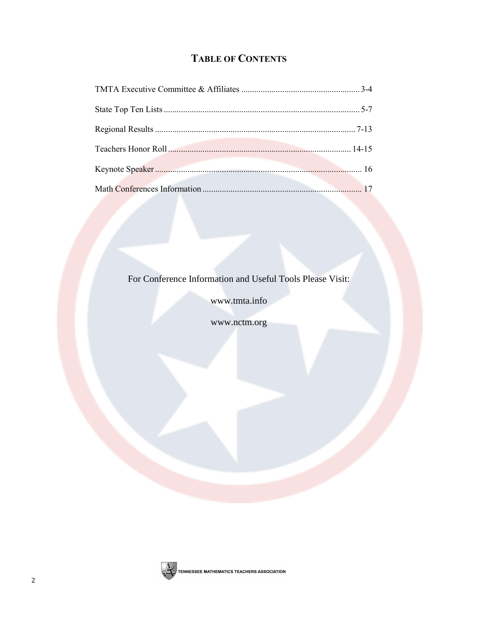# **TABLE OF CONTENTS**

For Conference Information and Useful Tools Please Visit:

www.tmta.info

www.nctm.org

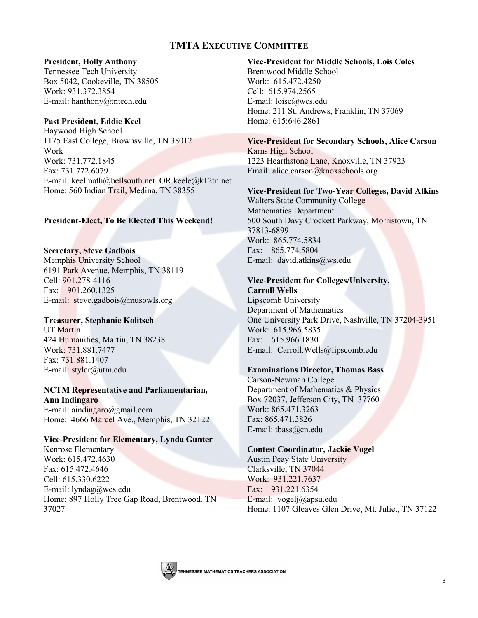# **TMTA EXECUTIVE COMMITTEE**

# **President, Holly Anthony**

Tennessee Tech University Box 5042, Cookeville, TN 38505 Work: 931.372.3854 E-mail: hanthony@tntech.edu

# **Past President, Eddie Keel**

Haywood High School 1175 East College, Brownsville, TN 38012 Work Work: 731.772.1845 Fax: 731.772.6079 E-mail: keelmath@bellsouth.net OR keele@k12tn.net Home: 560 Indian Trail, Medina, TN 38355

# **President-Elect, To Be Elected This Weekend!**

**Secretary, Steve Gadbois** Memphis University School 6191 Park Avenue, Memphis, TN 38119 Cell: 901.278-4116 Fax: 901.260.1325 E-mail: steve.gadbois@musowls.org

# **Treasurer, Stephanie Kolitsch**

UT Martin 424 Humanities, Martin, TN 38238 Work: 731.881.7477 Fax: 731.881.1407 E-mail: styler@utm.edu

### **NCTM Representative and Parliamentarian, Ann Indingaro**

E-mail: aindingaro@gmail.com Home: 4666 Marcel Ave., Memphis, TN 32122

# **Vice-President for Elementary, Lynda Gunter**

Kenrose Elementary Work: 615.472.4630 Fax: 615.472.4646 Cell: 615.330.6222 E-mail: lyndag@wcs.edu Home: 897 Holly Tree Gap Road, Brentwood, TN 37027

**Vice-President for Middle Schools, Lois Coles** Brentwood Middle School Work: 615.472.4250 Cell: 615.974.2565 E-mail: loisc@wcs.edu Home: 211 St. Andrews, Franklin, TN 37069 Home: 615:646.2861

# **Vice-President for Secondary Schools, Alice Carson** Karns High School 1223 Hearthstone Lane, Knoxville, TN 37923 Email: alice.carson@knoxschools.org

# **Vice-President for Two-Year Colleges, David Atkins**

Walters State Community College Mathematics Department 500 South Davy Crockett Parkway, Morristown, TN 37813-6899 Work: 865.774.5834 Fax: 865.774.5804 E-mail: david.atkins@ws.edu

# **Vice-President for Colleges/University,**

**Carroll Wells** Lipscomb University Department of Mathematics One University Park Drive, Nashville, TN 37204-3951 Work: 615.966.5835 Fax: 615.966.1830 E-mail: Carroll.Wells@lipscomb.edu

# **Examinations Director, Thomas Bass**

Carson-Newman College Department of Mathematics & Physics Box 72037, Jefferson City, TN 37760 Work: 865.471.3263 Fax: 865.471.3826 E-mail: tbass@cn.edu

# **Contest Coordinator, Jackie Vogel**

Austin Peay State University Clarksville, TN 37044 Work: 931.221.7637 Fax: 931.221.6354 E-mail: vogelj@apsu.edu Home: 1107 Gleaves Glen Drive, Mt. Juliet, TN 37122

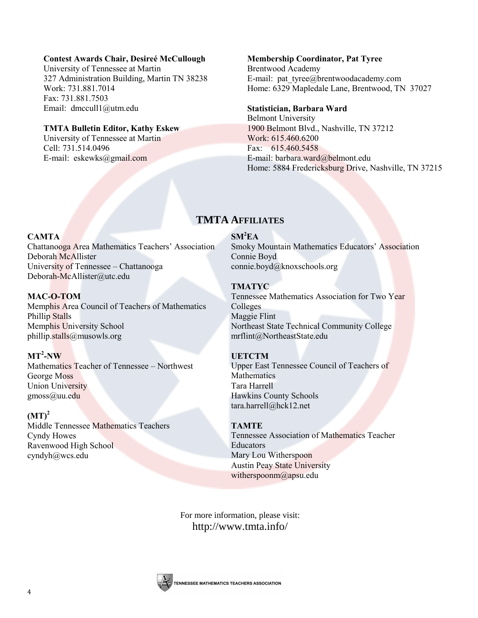# **Contest Awards Chair, Desireé McCullough**

University of Tennessee at Martin 327 Administration Building, Martin TN 38238 Work: 731.881.7014 Fax: 731.881.7503 Email: dmccull1@utm.edu

# **TMTA Bulletin Editor, Kathy Eskew**

University of Tennessee at Martin Cell: 731.514.0496 E-mail: eskewks@gmail.com

## **Membership Coordinator, Pat Tyree**

Brentwood Academy E-mail: pat tyree@brentwoodacademy.com Home: 6329 Mapledale Lane, Brentwood, TN 37027

# **Statistician, Barbara Ward**

Belmont University 1900 Belmont Blvd., Nashville, TN 37212 Work: 615.460.6200 Fax: 615.460.5458 E-mail: barbara.ward@belmont.edu Home: 5884 Fredericksburg Drive, Nashville, TN 37215

# **TMTA AFFILIATES**

# **SM<sup>2</sup>EA**

**CAMTA** Chattanooga Area Mathematics Teachers' Association Deborah McAllister University of Tennessee – Chattanooga [Deborah-McAllister@utc.edu](mailto:Deborah-McAllister@utc.edu)

# **MAC-O-TOM**

Memphis Area Council of Teachers of Mathematics Phillip Stalls Memphis University School [phillip.stalls@musowls.org](mailto:plillip.stalls@musowls.org)

# **MT<sup>2</sup> -NW**

Mathematics Teacher of Tennessee – Northwest George Moss Union University [gmoss@uu.edu](mailto:gmoss@uu.edu)

# $(MT)^2$ Middle Tennessee Mathematics Teachers Cyndy Howes Ravenwood High School [cyndyh@wcs.edu](mailto:cyndyh@wcs.edu)

# **TMATYC**

Connie Boyd

[connie.boyd@knoxschools.org](mailto:connie.boyd@knoxschools.org)

Tennessee Mathematics Association for Two Year Colleges Maggie Flint Northeast State Technical Community College [mrflint@NortheastState.edu](mailto:mrflint@NortheastState.edu)

Smoky Mountain Mathematics Educators' Association

# **UETCTM**

Upper East Tennessee Council of Teachers of **Mathematics** Tara Harrell Hawkins County Schools [tara.harrell@hck12.net](mailto:tara.harrell@hck12.net)

# **TAMTE**

Tennessee Association of Mathematics Teacher Educators Mary Lou Witherspoon Austin Peay State University [witherspoonm@apsu.edu](mailto:witherspoonm@apsu.edu)

For more information, please visit: <http://www.tmta.info/>

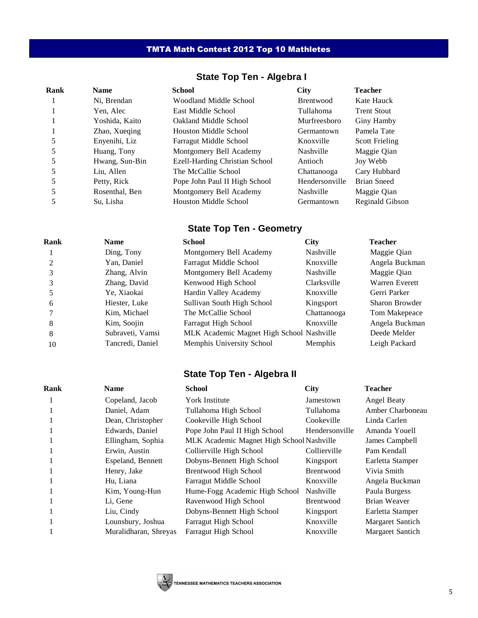# TMTA Math Contest 2012 Top 10 Mathletes

| <b>State Top Ten - Algebra I</b> |  |  |  |  |  |  |  |
|----------------------------------|--|--|--|--|--|--|--|
|----------------------------------|--|--|--|--|--|--|--|

| Rank | <b>Name</b>    | <b>School</b>                  | <b>City</b>      | <b>Teacher</b>        |
|------|----------------|--------------------------------|------------------|-----------------------|
|      | Ni, Brendan    | Woodland Middle School         | <b>Brentwood</b> | Kate Hauck            |
|      | Yen, Alec      | East Middle School             | Tullahoma        | <b>Trent Stout</b>    |
|      | Yoshida, Kaito | Oakland Middle School          | Murfreesboro     | Giny Hamby            |
|      | Zhao, Xueqing  | Houston Middle School          | Germantown       | Pamela Tate           |
|      | Enyenihi, Liz  | Farragut Middle School         | Knoxville        | <b>Scott Frieling</b> |
|      | Huang, Tony    | Montgomery Bell Academy        | Nashville        | Maggie Qian           |
|      | Hwang, Sun-Bin | Ezell-Harding Christian School | Antioch          | Joy Webb              |
|      | Liu, Allen     | The McCallie School            | Chattanooga      | Cary Hubbard          |
|      | Petty, Rick    | Pope John Paul II High School  | Hendersonville   | <b>Brian Sneed</b>    |
|      | Rosenthal, Ben | Montgomery Bell Academy        | Nashville        | Maggie Qian           |
|      | Su, Lisha      | Houston Middle School          | Germantown       | Reginald Gibson       |

# **State Top Ten - Geometry**

| Rank          | <b>Name</b>      | <b>School</b>                             | <b>City</b> | <b>Teacher</b>        |
|---------------|------------------|-------------------------------------------|-------------|-----------------------|
|               | Ding, Tony       | Montgomery Bell Academy                   | Nashville   | Maggie Qian           |
| $\mathcal{L}$ | Yan, Daniel      | Farragut Middle School                    | Knoxville   | Angela Buckman        |
|               | Zhang, Alvin     | Montgomery Bell Academy                   | Nashville   | Maggie Qian           |
|               | Zhang, David     | Kenwood High School                       | Clarksville | <b>Warren Everett</b> |
|               | Ye, Xiaokai      | Hardin Valley Academy                     | Knoxville   | Gerri Parker          |
| 6             | Hiester, Luke    | Sullivan South High School                | Kingsport   | Sharon Browder        |
|               | Kim, Michael     | The McCallie School                       | Chattanooga | Tom Makepeace         |
| 8             | Kim, Soojin      | Farragut High School                      | Knoxville   | Angela Buckman        |
| 8             | Subraveti, Vamsi | MLK Academic Magnet High School Nashville |             | Deede Melder          |
| 10            | Tancredi, Daniel | Memphis University School                 | Memphis     | Leigh Packard         |

# **State Top Ten - Algebra II**

| Rank | <b>Name</b>           | <b>School</b>                             | <b>City</b>      | <b>Teacher</b>   |
|------|-----------------------|-------------------------------------------|------------------|------------------|
|      | Copeland, Jacob       | <b>York Institute</b>                     | Jamestown        | Angel Beaty      |
|      | Daniel, Adam          | Tullahoma High School                     | Tullahoma        | Amber Charboneau |
|      | Dean, Christopher     | Cookeville High School                    | Cookeville       | Linda Carlen     |
|      | Edwards, Daniel       | Pope John Paul II High School             | Hendersonville   | Amanda Youell    |
|      | Ellingham, Sophia     | MLK Academic Magnet High School Nashville |                  | James Campbell   |
|      | Erwin, Austin         | Collierville High School                  | Collierville     | Pam Kendall      |
|      | Espeland, Bennett     | Dobyns-Bennett High School                | Kingsport        | Earletta Stamper |
|      | Henry, Jake           | Brentwood High School                     | Brentwood        | Vivia Smith      |
|      | Hu, Liana             | Farragut Middle School                    | Knoxville        | Angela Buckman   |
|      | Kim, Young-Hun        | Hume-Fogg Academic High School            | Nashville        | Paula Burgess    |
|      | Li, Gene              | Ravenwood High School                     | <b>Brentwood</b> | Brian Weaver     |
|      | Liu, Cindy            | Dobyns-Bennett High School                | Kingsport        | Earletta Stamper |
|      | Lounsbury, Joshua     | Farragut High School                      | Knoxville        | Margaret Santich |
|      | Muralidharan, Shreyas | Farragut High School                      | Knoxville        | Margaret Santich |

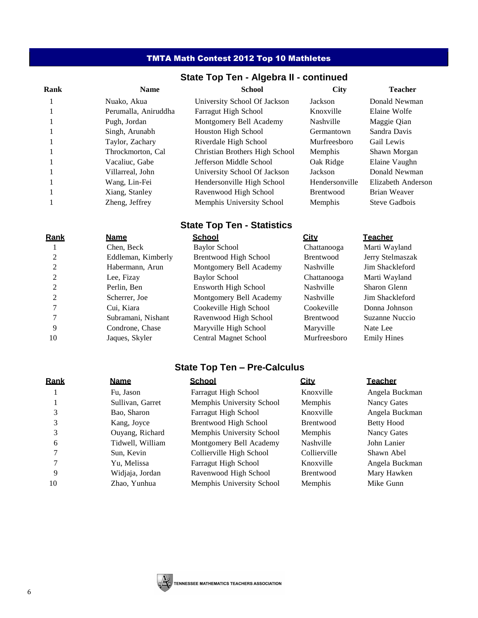# TMTA Math Contest 2012 Top 10 Mathletes

# **State Top Ten - Algebra II - continued**

| Rank | <b>Name</b>          | <b>School</b>                  | <b>City</b>      | <b>Teacher</b>     |
|------|----------------------|--------------------------------|------------------|--------------------|
|      | Nuako, Akua          | University School Of Jackson   | Jackson          | Donald Newman      |
|      | Perumalla, Aniruddha | Farragut High School           | Knoxville        | Elaine Wolfe       |
|      | Pugh, Jordan         | Montgomery Bell Academy        | Nashville        | Maggie Qian        |
|      | Singh, Arunabh       | Houston High School            | Germantown       | Sandra Davis       |
|      | Taylor, Zachary      | Riverdale High School          | Murfreesboro     | Gail Lewis         |
|      | Throckmorton, Cal    | Christian Brothers High School | <b>Memphis</b>   | Shawn Morgan       |
|      | Vacaliuc. Gabe       | Jefferson Middle School        | Oak Ridge        | Elaine Vaughn      |
|      | Villarreal. John     | University School Of Jackson   | Jackson          | Donald Newman      |
|      | Wang, Lin-Fei        | Hendersonville High School     | Hendersonville   | Elizabeth Anderson |
|      | Xiang, Stanley       | Ravenwood High School          | <b>Brentwood</b> | Brian Weaver       |
|      | Zheng, Jeffrey       | Memphis University School      | Memphis          | Steve Gadbois      |

# **State Top Ten - Statistics**

| Rank | <b>Name</b>        | <b>School</b>           | <u>City</u>      | <u>Teacher</u>     |
|------|--------------------|-------------------------|------------------|--------------------|
|      | Chen, Beck         | <b>Baylor School</b>    | Chattanooga      | Marti Wayland      |
|      | Eddleman, Kimberly | Brentwood High School   | <b>Brentwood</b> | Jerry Stelmaszak   |
|      | Habermann, Arun    | Montgomery Bell Academy | Nashville        | Jim Shackleford    |
|      | Lee, Fizay         | <b>Baylor School</b>    | Chattanooga      | Marti Wayland      |
|      | Perlin, Ben        | Ensworth High School    | Nashville        | Sharon Glenn       |
|      | Scherrer, Joe      | Montgomery Bell Academy | Nashville        | Jim Shackleford    |
|      | Cui. Kiara         | Cookeville High School  | Cookeville       | Donna Johnson      |
|      | Subramani, Nishant | Ravenwood High School   | <b>Brentwood</b> | Suzanne Nuccio     |
| 9    | Condrone, Chase    | Maryville High School   | Maryville        | Nate Lee           |
| 10   | Jaques, Skyler     | Central Magnet School   | Murfreesboro     | <b>Emily Hines</b> |

# **State Top Ten – Pre-Calculus**

| Rank | <u>Name</u>      | <b>School</b>             | <u>City</u>      | <b>Teacher</b>     |
|------|------------------|---------------------------|------------------|--------------------|
|      | Fu, Jason        | Farragut High School      | Knoxville        | Angela Buckman     |
|      | Sullivan, Garret | Memphis University School | Memphis          | Nancy Gates        |
|      | Bao, Sharon      | Farragut High School      | Knoxville        | Angela Buckman     |
|      | Kang, Joyce      | Brentwood High School     | <b>Brentwood</b> | Betty Hood         |
|      | Ouyang, Richard  | Memphis University School | Memphis          | <b>Nancy Gates</b> |
| 6    | Tidwell, William | Montgomery Bell Academy   | Nashville        | John Lanier        |
|      | Sun, Kevin       | Collierville High School  | Collierville     | Shawn Abel         |
|      | Yu. Melissa      | Farragut High School      | Knoxville        | Angela Buckman     |
| 9    | Widjaja, Jordan  | Ravenwood High School     | <b>Brentwood</b> | Mary Hawken        |
| 10   | Zhao, Yunhua     | Memphis University School | Memphis          | Mike Gunn          |

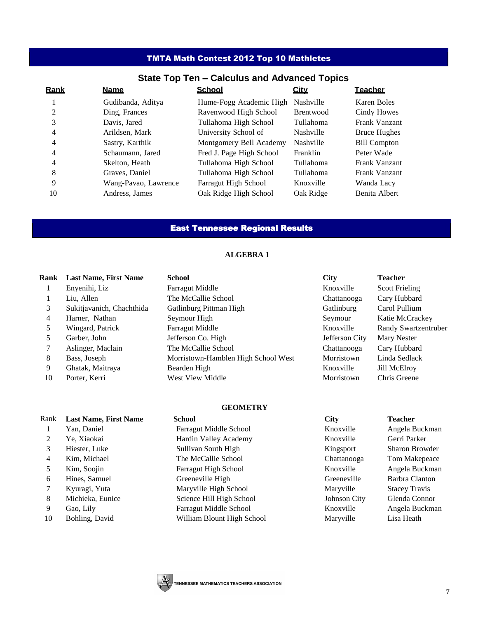# TMTA Math Contest 2012 Top 10 Mathletes

# **State Top Ten – Calculus and Advanced Topics**

| Rank | <b>Name</b>          | <b>School</b>            | <b>City</b>      | <b>Teacher</b>       |
|------|----------------------|--------------------------|------------------|----------------------|
|      | Gudibanda, Aditya    | Hume-Fogg Academic High  | Nashville        | Karen Boles          |
| 2    | Ding, Frances        | Ravenwood High School    | <b>Brentwood</b> | Cindy Howes          |
| 3    | Davis, Jared         | Tullahoma High School    | Tullahoma        | <b>Frank Vanzant</b> |
| 4    | Arildsen, Mark       | University School of     | Nashville        | <b>Bruce Hughes</b>  |
| 4    | Sastry, Karthik      | Montgomery Bell Academy  | <b>Nashville</b> | <b>Bill Compton</b>  |
| 4    | Schaumann, Jared     | Fred J. Page High School | Franklin         | Peter Wade           |
| 4    | Skelton, Heath       | Tullahoma High School    | Tullahoma        | <b>Frank Vanzant</b> |
| 8    | Graves, Daniel       | Tullahoma High School    | Tullahoma        | <b>Frank Vanzant</b> |
| 9    | Wang-Pavao, Lawrence | Farragut High School     | Knoxville        | Wanda Lacy           |
| 10   | Andress, James       | Oak Ridge High School    | Oak Ridge        | Benita Albert        |

# East Tennessee Regional Results

#### **ALGEBRA 1**

| Rank | <b>Last Name, First Name</b> | <b>School</b>                       | <b>City</b>    | <b>Teacher</b>        |
|------|------------------------------|-------------------------------------|----------------|-----------------------|
|      | Enyenihi, Liz                | <b>Farragut Middle</b>              | Knoxville      | <b>Scott Frieling</b> |
|      | Liu, Allen                   | The McCallie School                 | Chattanooga    | Cary Hubbard          |
| 3    | Sukitjavanich, Chachthida    | Gatlinburg Pittman High             | Gatlinburg     | Carol Pullium         |
| 4    | Harner, Nathan               | Seymour High                        | Seymour        | Katie McCrackey       |
|      | Wingard, Patrick             | <b>Farragut Middle</b>              | Knoxville      | Randy Swartzentruber  |
| 5.   | Garber, John                 | Jefferson Co. High                  | Jefferson City | <b>Mary Nester</b>    |
|      | Aslinger, Maclain            | The McCallie School                 | Chattanooga    | Cary Hubbard          |
| 8    | Bass, Joseph                 | Morristown-Hamblen High School West | Morristown     | Linda Sedlack         |
| 9    | Ghatak, Maitraya             | Bearden High                        | Knoxville      | <b>Jill McElroy</b>   |
| 10   | Porter, Kerri                | West View Middle                    | Morristown     | Chris Greene          |

#### **GEOMETRY**

| Rank | <b>Last Name, First Name</b> | <b>School</b>                 | <b>City</b>  | <b>Teacher</b>        |
|------|------------------------------|-------------------------------|--------------|-----------------------|
|      | Yan, Daniel                  | Farragut Middle School        | Knoxville    | Angela Buckman        |
| 2    | Ye, Xiaokai                  | Hardin Valley Academy         | Knoxville    | Gerri Parker          |
| 3    | Hiester, Luke                | Sullivan South High           | Kingsport    | <b>Sharon Browder</b> |
| 4    | Kim, Michael                 | The McCallie School           | Chattanooga  | Tom Makepeace         |
| 5    | Kim, Soojin                  | Farragut High School          | Knoxville    | Angela Buckman        |
| 6    | Hines, Samuel                | Greeneville High              | Greeneville  | Barbra Clanton        |
|      | Kyuragi, Yuta                | Maryville High School         | Maryville    | <b>Stacey Travis</b>  |
| 8    | Michieka, Eunice             | Science Hill High School      | Johnson City | Glenda Connor         |
| 9    | Gao, Lily                    | <b>Farragut Middle School</b> | Knoxville    | Angela Buckman        |
| 10   | Bohling, David               | William Blount High School    | Maryville    | Lisa Heath            |
|      |                              |                               |              |                       |

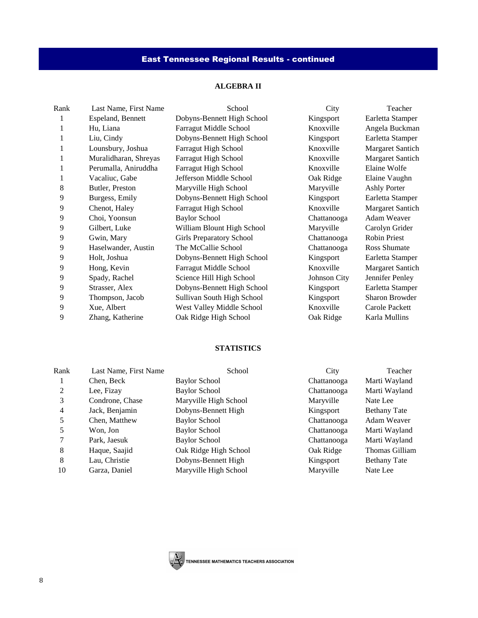# East Tennessee Regional Results - continued

# **ALGEBRA II**

| Rank | Last Name, First Name | School                          | City         | Teacher                 |
|------|-----------------------|---------------------------------|--------------|-------------------------|
|      | Espeland, Bennett     | Dobyns-Bennett High School      | Kingsport    | Earletta Stamper        |
|      | Hu, Liana             | Farragut Middle School          | Knoxville    | Angela Buckman          |
| 1    | Liu, Cindy            | Dobyns-Bennett High School      | Kingsport    | Earletta Stamper        |
|      | Lounsbury, Joshua     | <b>Farragut High School</b>     | Knoxville    | <b>Margaret Santich</b> |
| 1    | Muralidharan, Shreyas | Farragut High School            | Knoxville    | <b>Margaret Santich</b> |
| 1    | Perumalla, Aniruddha  | Farragut High School            | Knoxville    | Elaine Wolfe            |
| 1    | Vacaliuc, Gabe        | Jefferson Middle School         | Oak Ridge    | Elaine Vaughn           |
| 8    | Butler, Preston       | Maryville High School           | Maryville    | <b>Ashly Porter</b>     |
| 9    | Burgess, Emily        | Dobyns-Bennett High School      | Kingsport    | Earletta Stamper        |
| 9    | Chenot, Haley         | Farragut High School            | Knoxville    | <b>Margaret Santich</b> |
| 9    | Choi, Yoonsun         | <b>Baylor School</b>            | Chattanooga  | Adam Weaver             |
| 9    | Gilbert, Luke         | William Blount High School      | Maryville    | Carolyn Grider          |
| 9    | Gwin, Mary            | <b>Girls Preparatory School</b> | Chattanooga  | Robin Priest            |
| 9    | Haselwander, Austin   | The McCallie School             | Chattanooga  | <b>Ross Shumate</b>     |
| 9    | Holt, Joshua          | Dobyns-Bennett High School      | Kingsport    | Earletta Stamper        |
| 9    | Hong, Kevin           | Farragut Middle School          | Knoxville    | <b>Margaret Santich</b> |
| 9    | Spady, Rachel         | Science Hill High School        | Johnson City | Jennifer Penley         |
| 9    | Strasser, Alex        | Dobyns-Bennett High School      | Kingsport    | Earletta Stamper        |
| 9    | Thompson, Jacob       | Sullivan South High School      | Kingsport    | Sharon Browder          |
| 9    | Xue, Albert           | West Valley Middle School       | Knoxville    | Carole Packett          |
| 9    | Zhang, Katherine      | Oak Ridge High School           | Oak Ridge    | Karla Mullins           |
|      |                       |                                 |              |                         |

# **STATISTICS**

| Rank | Last Name, First Name | School                | City        | Teacher             |
|------|-----------------------|-----------------------|-------------|---------------------|
|      | Chen, Beck            | <b>Baylor School</b>  | Chattanooga | Marti Wayland       |
| 2    | Lee, Fizay            | <b>Baylor School</b>  | Chattanooga | Marti Wayland       |
| 3    | Condrone, Chase       | Maryville High School | Maryville   | Nate Lee            |
| 4    | Jack, Benjamin        | Dobyns-Bennett High   | Kingsport   | <b>Bethany Tate</b> |
| 5    | Chen, Matthew         | <b>Baylor School</b>  | Chattanooga | Adam Weaver         |
| 5    | Won, Jon              | <b>Baylor School</b>  | Chattanooga | Marti Wayland       |
| 7    | Park, Jaesuk          | <b>Baylor School</b>  | Chattanooga | Marti Wayland       |
| 8    | Haque, Saajid         | Oak Ridge High School | Oak Ridge   | Thomas Gilliam      |
| 8    | Lau, Christie         | Dobyns-Bennett High   | Kingsport   | <b>Bethany Tate</b> |
| 10   | Garza, Daniel         | Maryville High School | Maryville   | Nate Lee            |

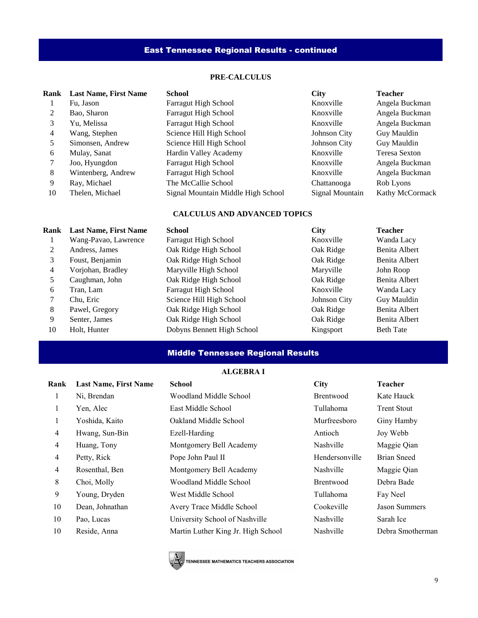# East Tennessee Regional Results - continued

### **PRE-CALCULUS**

| Rank | <b>Last Name, First Name</b> | <b>School</b>                      | <b>City</b>     | <b>Teacher</b>       |
|------|------------------------------|------------------------------------|-----------------|----------------------|
|      | Fu, Jason                    | <b>Farragut High School</b>        | Knoxville       | Angela Buckman       |
| 2    | Bao, Sharon                  | <b>Farragut High School</b>        | Knoxville       | Angela Buckman       |
| 3    | Yu, Melissa                  | <b>Farragut High School</b>        | Knoxville       | Angela Buckman       |
| 4    | Wang, Stephen                | Science Hill High School           | Johnson City    | Guy Mauldin          |
| 5    | Simonsen, Andrew             | Science Hill High School           | Johnson City    | Guy Mauldin          |
| 6    | Mulay, Sanat                 | Hardin Valley Academy              | Knoxville       | <b>Teresa Sexton</b> |
|      | Joo, Hyungdon                | <b>Farragut High School</b>        | Knoxville       | Angela Buckman       |
| 8    | Wintenberg, Andrew           | <b>Farragut High School</b>        | Knoxville       | Angela Buckman       |
| 9    | Ray, Michael                 | The McCallie School                | Chattanooga     | Rob Lyons            |
| 10   | Thelen, Michael              | Signal Mountain Middle High School | Signal Mountain | Kathy McCormack      |

### **CALCULUS AND ADVANCED TOPICS**

| Rank | <b>Last Name, First Name</b> | <b>School</b>               | <b>City</b>  | <b>Teacher</b>   |
|------|------------------------------|-----------------------------|--------------|------------------|
|      | Wang-Pavao, Lawrence         | <b>Farragut High School</b> | Knoxville    | Wanda Lacy       |
| 2    | Andress, James               | Oak Ridge High School       | Oak Ridge    | Benita Albert    |
| 3    | Foust, Benjamin              | Oak Ridge High School       | Oak Ridge    | Benita Albert    |
| 4    | Vorjohan, Bradley            | Maryville High School       | Maryville    | John Roop        |
| 5.   | Caughman, John               | Oak Ridge High School       | Oak Ridge    | Benita Albert    |
| 6    | Tran, Lam                    | <b>Farragut High School</b> | Knoxville    | Wanda Lacy       |
|      | Chu, Eric                    | Science Hill High School    | Johnson City | Guy Mauldin      |
| 8    | Pawel, Gregory               | Oak Ridge High School       | Oak Ridge    | Benita Albert    |
| 9    | Senter, James                | Oak Ridge High School       | Oak Ridge    | Benita Albert    |
| 10   | Holt, Hunter                 | Dobyns Bennett High School  | Kingsport    | <b>Beth Tate</b> |

# Middle Tennessee Regional Results

# **ALGEBRA I**

| Rank           | <b>Last Name, First Name</b> | <b>School</b>                      | <b>City</b>      | <b>Teacher</b>       |
|----------------|------------------------------|------------------------------------|------------------|----------------------|
|                | Ni, Brendan                  | Woodland Middle School             | <b>Brentwood</b> | Kate Hauck           |
| 1              | Yen, Alec                    | East Middle School                 | Tullahoma        | <b>Trent Stout</b>   |
|                | Yoshida, Kaito               | Oakland Middle School              | Murfreesboro     | Giny Hamby           |
| $\overline{4}$ | Hwang, Sun-Bin               | Ezell-Harding                      | Antioch          | Joy Webb             |
| 4              | Huang, Tony                  | Montgomery Bell Academy            | Nashville        | Maggie Qian          |
| $\overline{4}$ | Petty, Rick                  | Pope John Paul II                  | Hendersonville   | <b>Brian Sneed</b>   |
| $\overline{4}$ | Rosenthal, Ben               | Montgomery Bell Academy            | Nashville        | Maggie Qian          |
| 8              | Choi, Molly                  | Woodland Middle School             | <b>Brentwood</b> | Debra Bade           |
| 9              | Young, Dryden                | West Middle School                 | Tullahoma        | Fay Neel             |
| 10             | Dean, Johnathan              | Avery Trace Middle School          | Cookeville       | <b>Jason Summers</b> |
| 10             | Pao, Lucas                   | University School of Nashville     | Nashville        | Sarah Ice            |
| 10             | Reside, Anna                 | Martin Luther King Jr. High School | Nashville        | Debra Smotherman     |
|                |                              |                                    |                  |                      |

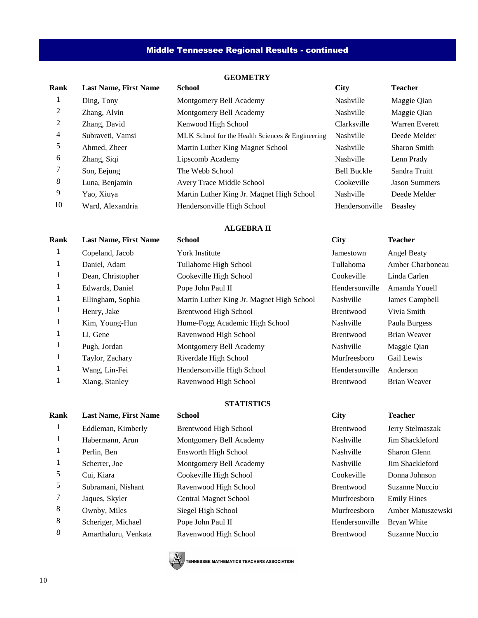# Middle Tennessee Regional Results - continued

# **GEOMETRY**

| Rank | <b>Last Name, First Name</b> | <b>School</b>                                    | <b>City</b>        | <b>Teacher</b>        |
|------|------------------------------|--------------------------------------------------|--------------------|-----------------------|
|      | Ding, Tony                   | Montgomery Bell Academy                          | Nashville          | Maggie Qian           |
| 2    | Zhang, Alvin                 | Montgomery Bell Academy                          | Nashville          | Maggie Qian           |
| 2    | Zhang, David                 | Kenwood High School                              | Clarksville        | <b>Warren Everett</b> |
| 4    | Subraveti, Vamsi             | MLK School for the Health Sciences & Engineering | <b>Nashville</b>   | Deede Melder          |
| 5    | Ahmed. Zheer                 | Martin Luther King Magnet School                 | Nashville          | <b>Sharon Smith</b>   |
| 6    | Zhang, Siqi                  | Lipscomb Academy                                 | <b>Nashville</b>   | Lenn Prady            |
|      | Son, Eejung                  | The Webb School                                  | <b>Bell Buckle</b> | Sandra Truitt         |
| 8    | Luna, Benjamin               | Avery Trace Middle School                        | Cookeville         | <b>Jason Summers</b>  |
| 9    | Yao, Xiuya                   | Martin Luther King Jr. Magnet High School        | Nashville          | Deede Melder          |
| 10   | Ward, Alexandria             | Hendersonville High School                       | Hendersonville     | Beasley               |
|      |                              |                                                  |                    |                       |

# **ALGEBRA II**

| Rank | <b>Last Name, First Name</b> | <b>School</b>                             | <b>City</b>      | <b>Teacher</b>      |
|------|------------------------------|-------------------------------------------|------------------|---------------------|
|      | Copeland, Jacob              | <b>York Institute</b>                     | Jamestown        | <b>Angel Beaty</b>  |
|      | Daniel, Adam                 | Tullahome High School                     | Tullahoma        | Amber Charboneau    |
|      | Dean, Christopher            | Cookeville High School                    | Cookeville       | Linda Carlen        |
|      | Edwards, Daniel              | Pope John Paul II                         | Hendersonville   | Amanda Youell       |
|      | Ellingham, Sophia            | Martin Luther King Jr. Magnet High School | Nashville        | James Campbell      |
| 1    | Henry, Jake                  | <b>Brentwood High School</b>              | Brentwood        | Vivia Smith         |
|      | Kim, Young-Hun               | Hume-Fogg Academic High School            | Nashville        | Paula Burgess       |
|      | Li, Gene                     | Ravenwood High School                     | Brentwood        | <b>Brian Weaver</b> |
|      | Pugh, Jordan                 | Montgomery Bell Academy                   | Nashville        | Maggie Qian         |
|      | Taylor, Zachary              | Riverdale High School                     | Murfreesboro     | Gail Lewis          |
|      | Wang, Lin-Fei                | Hendersonville High School                | Hendersonville   | Anderson            |
|      | Xiang, Stanley               | Ravenwood High School                     | <b>Brentwood</b> | <b>Brian Weaver</b> |
|      |                              |                                           |                  |                     |

### **STATISTICS**

| Rank | <b>Last Name, First Name</b> | <b>School</b>                | <b>City</b>      | <b>Teacher</b>        |
|------|------------------------------|------------------------------|------------------|-----------------------|
| 1    | Eddleman, Kimberly           | Brentwood High School        | <b>Brentwood</b> | Jerry Stelmaszak      |
|      | Habermann, Arun              | Montgomery Bell Academy      | Nashville        | Jim Shackleford       |
|      | Perlin, Ben                  | Ensworth High School         | Nashville        | Sharon Glenn          |
|      | Scherrer, Joe                | Montgomery Bell Academy      | Nashville        | Jim Shackleford       |
| 5    | Cui. Kiara                   | Cookeville High School       | Cookeville       | Donna Johnson         |
| 5    | Subramani, Nishant           | Ravenwood High School        | Brentwood        | Suzanne Nuccio        |
|      | Jaques, Skyler               | <b>Central Magnet School</b> | Murfreesboro     | <b>Emily Hines</b>    |
| 8    | Ownby, Miles                 | Siegel High School           | Murfreesboro     | <b>Amber Matuszey</b> |
| 8    | Scheriger, Michael           | Pope John Paul II            | Hendersonville   | Bryan White           |
| 8    | Amarthaluru, Venkata         | Ravenwood High School        | <b>Brentwood</b> | Suzanne Nuccio        |
|      |                              |                              |                  |                       |

 $\mathbb{A}$  TENNESSEE MATHEMATICS TEACHERS ASSOCIATION

er Matuszewski

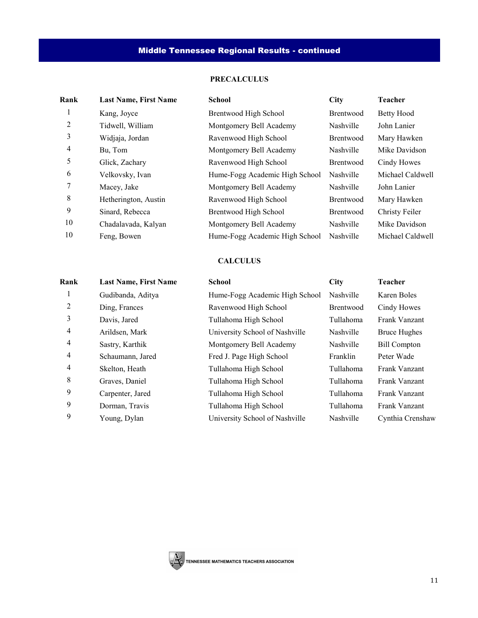# **PRECALCULUS**

| Rank | <b>Last Name, First Name</b> | <b>School</b>                  | <b>City</b>      | <b>Teacher</b>    |
|------|------------------------------|--------------------------------|------------------|-------------------|
|      | Kang, Joyce                  | Brentwood High School          | <b>Brentwood</b> | <b>Betty Hood</b> |
| 2    | Tidwell, William             | Montgomery Bell Academy        | Nashville        | John Lanier       |
| 3    | Widjaja, Jordan              | Ravenwood High School          | Brentwood        | Mary Hawken       |
| 4    | Bu, Tom                      | Montgomery Bell Academy        | Nashville        | Mike Davidson     |
| 5    | Glick, Zachary               | Ravenwood High School          | Brentwood        | Cindy Howes       |
| 6    | Velkovsky, Ivan              | Hume-Fogg Academic High School | Nashville        | Michael Caldwell  |
|      | Macey, Jake                  | Montgomery Bell Academy        | Nashville        | John Lanier       |
| 8    | Hetherington, Austin         | Ravenwood High School          | Brentwood        | Mary Hawken       |
| 9    | Sinard, Rebecca              | Brentwood High School          | <b>Brentwood</b> | Christy Feiler    |
| 10   | Chadalavada, Kalyan          | Montgomery Bell Academy        | Nashville        | Mike Davidson     |
| 10   | Feng, Bowen                  | Hume-Fogg Academic High School | Nashville        | Michael Caldwell  |
|      |                              |                                |                  |                   |

### **CALCULUS**

| Rank           | <b>Last Name, First Name</b> | <b>School</b>                  | <b>City</b> | <b>Teacher</b>      |
|----------------|------------------------------|--------------------------------|-------------|---------------------|
|                | Gudibanda, Aditya            | Hume-Fogg Academic High School | Nashville   | Karen Boles         |
| 2              | Ding, Frances                | Ravenwood High School          | Brentwood   | Cindy Howes         |
| 3              | Davis, Jared                 | Tullahoma High School          | Tullahoma   | Frank Vanzant       |
| 4              | Arildsen, Mark               | University School of Nashville | Nashville   | <b>Bruce Hughes</b> |
| 4              | Sastry, Karthik              | Montgomery Bell Academy        | Nashville   | <b>Bill Compton</b> |
| 4              | Schaumann, Jared             | Fred J. Page High School       | Franklin    | Peter Wade          |
| $\overline{4}$ | Skelton, Heath               | Tullahoma High School          | Tullahoma   | Frank Vanzant       |
| 8              | Graves, Daniel               | Tullahoma High School          | Tullahoma   | Frank Vanzant       |
| 9              | Carpenter, Jared             | Tullahoma High School          | Tullahoma   | Frank Vanzant       |
| 9              | Dorman, Travis               | Tullahoma High School          | Tullahoma   | Frank Vanzant       |
| 9              | Young, Dylan                 | University School of Nashville | Nashville   | Cynthia Crenshaw    |

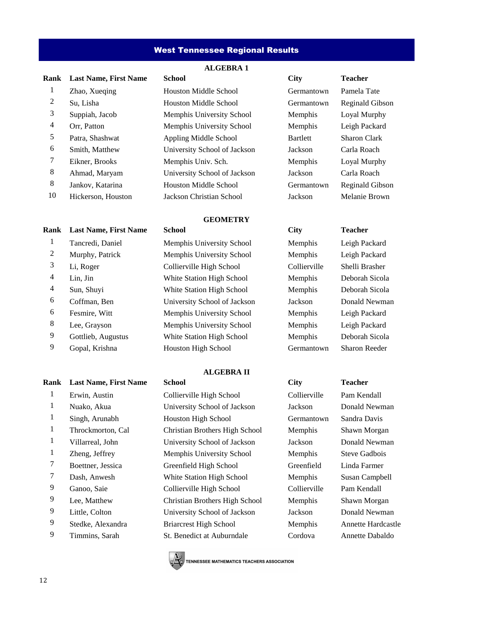### West Tennessee Regional Results

#### **ALGEBRA 1**

| Rank | <b>Last Name, First Name</b> | <b>School</b>                | <b>City</b>    | <b>Teacher</b>      |
|------|------------------------------|------------------------------|----------------|---------------------|
| 1    | Zhao, Xueging                | <b>Houston Middle School</b> | Germantown     | Pamela <sub>1</sub> |
| 2    | Su, Lisha                    | <b>Houston Middle School</b> | Germantown     | Reginald            |
| 3    | Suppiah, Jacob               | Memphis University School    | Memphis        | Loyal M             |
| 4    | Orr, Patton                  | Memphis University School    | <b>Memphis</b> | Leigh Pa            |
| 5    | Patra, Shashwat              | Appling Middle School        | Bartlett       | Sharon C            |
| 6    | Smith, Matthew               | University School of Jackson | Jackson        | Carla Ro            |
| 7    | Eikner, Brooks               | Memphis Univ. Sch.           | <b>Memphis</b> | Loyal M             |
| 8    | Ahmad, Maryam                | University School of Jackson | Jackson        | Carla Ro            |
| 8    | Jankov, Katarina             | <b>Houston Middle School</b> | Germantown     | Reginald            |
| 10   | Hickerson, Houston           | Jackson Christian School     | Jackson        | Melanie             |
|      |                              |                              |                |                     |

# **Rank Last Name, First Name School City Teacher**

# 1 Erwin, Austin Collierville High School Collierville Pam Kendall 1 Nuako, Akua University School of Jackson Jackson Donald Newman 1 Singh, Arunabh Houston High School Germantown Sandra Davis 1 Throckmorton, Cal Christian Brothers High School Memphis Shawn Morgan 1 Villarreal, John University School of Jackson Jackson Donald Newman 1 Zheng, Jeffrey Memphis University School Memphis Steve Gadbois 7 Boettner, Jessica Greenfield High School Greenfield Linda Farmer 7 Dash, Anwesh White Station High School Memphis Susan Campbell 9 Ganoo, Saie Collierville High School Collierville Pam Kendall

- 
- 

Houston Middle School Germantown Pamela Tate 2 Su, Lisha Houston Middle School Germantown Reginald Gibson Memphis University School Memphis Loyal Murphy Memphis University School Memphis Leigh Packard Appling Middle School Bartlett Sharon Clark University School of Jackson Jackson Carla Roach Memphis Univ. Sch. Memphis Loyal Murphy 8 Ahmad, Maryam University School of Jackson Jackson Carla Roach Houston Middle School Germantown Reginald Gibson 10 Hickerson, Houston Jackson Christian School Jackson Melanie Brown

#### **GEOMETRY**

1 Tancredi, Daniel Memphis University School Memphis Leigh Packard

### **ALGEBRA II**

 Lee, Matthew Christian Brothers High School Memphis Shawn Morgan Little, Colton University School of Jackson Jackson Donald Newman Stedke, Alexandra Briarcrest High School Memphis Annette Hardcastle Timmins, Sarah St. Benedict at Auburndale Cordova Annette Dabaldo

| Germantown      | Pamel        |
|-----------------|--------------|
| Germantown      | Regin        |
| Memphis         | Loyal        |
| Memphis         | Leigh        |
| <b>Bartlett</b> | <b>Sharo</b> |
| Jackson         | Carla        |
| Memphis         | Loyal        |
| <b>ackson</b>   | Carla        |
| Germantown      | Regin        |
| ackson          | Melan        |

 Murphy, Patrick Memphis University School Memphis Leigh Packard Li, Roger Collierville High School Collierville Shelli Brasher Lin, Jin White Station High School Memphis Deborah Sicola Sun, Shuyi White Station High School Memphis Deborah Sicola Coffman, Ben University School of Jackson Jackson Donald Newman Fesmire, Witt Memphis University School Memphis Leigh Packard Lee, Grayson Memphis University School Memphis Leigh Packard 9 Gottlieb, Augustus White Station High School Memphis Deborah Sicola 9 Gopal, Krishna Houston High School Germantown Sharon Reeder

# **Rank Last Name, First Name School City Teacher**



**TENNESSEE MATHEMATICS TEACHERS ASSOCIATION**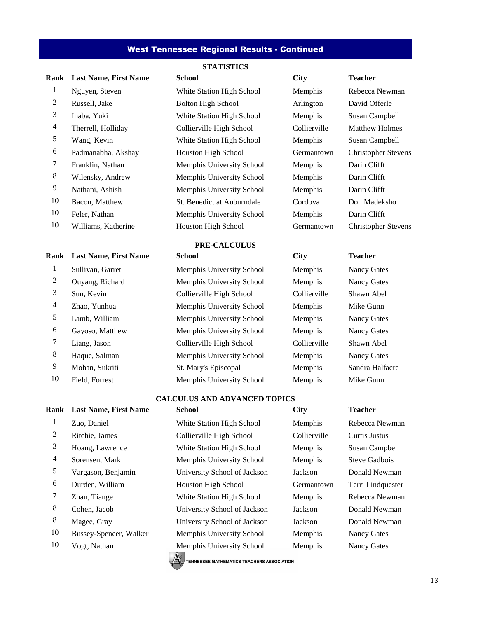#### West Tennessee Regional Results - Continued

**STATISTICS**

# **Rank Last Name, First Name School City Teacher**

 Nguyen, Steven White Station High School Memphis Rebecca Newman 2 Russell, Jake Bolton High School Arlington David Offerle Inaba, Yuki White Station High School Memphis Susan Campbell Therrell, Holliday Collierville High School Collierville Matthew Holmes Wang, Kevin White Station High School Memphis Susan Campbell Padmanabha, Akshay Houston High School Germantown Christopher Stevens Franklin, Nathan Memphis University School Memphis Darin Clifft Wilensky, Andrew Memphis University School Memphis Darin Clifft Nathani, Ashish Memphis University School Memphis Darin Clifft Bacon, Matthew St. Benedict at Auburndale Cordova Don Madeksho Feler, Nathan Memphis University School Memphis Darin Clifft 10 Williams, Katherine Houston High School Germantown Christopher Stevens

#### **PRE-CALCULUS**

 Sullivan, Garret Memphis University School Memphis Nancy Gates Ouyang, Richard Memphis University School Memphis Nancy Gates Sun, Kevin Collierville High School Collierville Shawn Abel Zhao, Yunhua Memphis University School Memphis Mike Gunn 5 Lamb, William Memphis University School Memphis Nancy Gates Gayoso, Matthew Memphis University School Memphis Nancy Gates Liang, Jason Collierville High School Collierville Shawn Abel 8 Haque, Salman Memphis University School Memphis Nancy Gates 9 Mohan, Sukriti St. Mary's Episcopal Memphis Sandra Halfacre 10 Field, Forrest Memphis University School Memphis Mike Gunn

#### **CALCULUS AND ADVANCED TOPICS**

| Rank    | <b>Last Name, First Name</b> | <b>School</b>                             | <b>City</b>  | <b>Teacher</b>    |
|---------|------------------------------|-------------------------------------------|--------------|-------------------|
| $\perp$ | Zuo, Daniel                  | White Station High School                 | Memphis      | Rebecca Newman    |
| 2       | Ritchie, James               | Collierville High School                  | Collierville | Curtis Justus     |
| 3       | Hoang, Lawrence              | White Station High School                 | Memphis      | Susan Campbell    |
| 4       | Sorensen, Mark               | Memphis University School                 | Memphis      | Steve Gadbois     |
| 5       | Vargason, Benjamin           | University School of Jackson              | Jackson      | Donald Newman     |
| 6       | Durden, William              | Houston High School                       | Germantown   | Terri Lindquester |
| 7       | Zhan, Tiange                 | White Station High School                 | Memphis      | Rebecca Newman    |
| 8       | Cohen, Jacob                 | University School of Jackson              | Jackson      | Donald Newman     |
| 8       | Magee, Gray                  | University School of Jackson              | Jackson      | Donald Newman     |
| 10      | Bussey-Spencer, Walker       | Memphis University School                 | Memphis      | Nancy Gates       |
| 10      | Vogt, Nathan                 | Memphis University School<br>$\mathbb{A}$ | Memphis      | Nancy Gates       |

 $\mathbb{R}$  TENNESSEE MATHEMATICS TEACHERS ASSOCIATION

#### **Rank Last Name, First Name School City Teacher**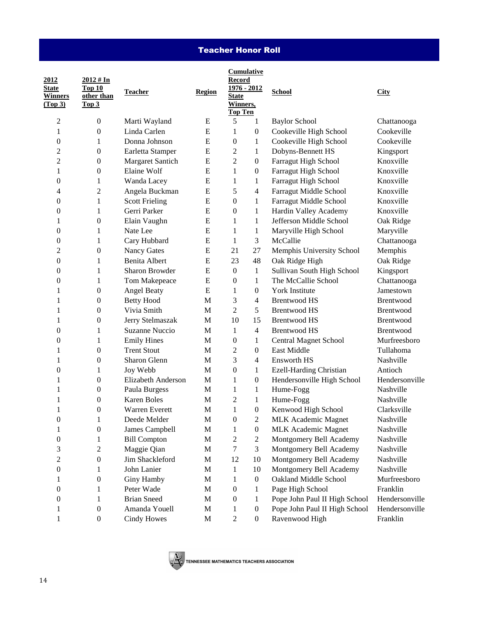# Teacher Honor Roll

| 2012<br><b>State</b><br><b>Winners</b><br>(Top 3) | $2012 \# In$<br>Top 10<br>other than<br>Top <sub>3</sub> | <b>Teacher</b>        | <b>Region</b> | <b>Cumulative</b><br><b>Record</b><br>1976 - 2012<br><b>State</b><br><b>Winners</b> ,<br><b>Top Ten</b> |                  | <b>School</b>                  | <b>City</b>    |
|---------------------------------------------------|----------------------------------------------------------|-----------------------|---------------|---------------------------------------------------------------------------------------------------------|------------------|--------------------------------|----------------|
| 2                                                 | $\boldsymbol{0}$                                         | Marti Wayland         | E             | 5                                                                                                       | 1                | <b>Baylor School</b>           | Chattanooga    |
| 1                                                 | $\boldsymbol{0}$                                         | Linda Carlen          | E             | 1                                                                                                       | $\boldsymbol{0}$ | Cookeville High School         | Cookeville     |
| 0                                                 | 1                                                        | Donna Johnson         | ${\bf E}$     | 0                                                                                                       | $\mathbf{1}$     | Cookeville High School         | Cookeville     |
| 2                                                 | $\boldsymbol{0}$                                         | Earletta Stamper      | ${\bf E}$     | 2                                                                                                       | $\mathbf{1}$     | Dobyns-Bennett HS              | Kingsport      |
| $\overline{c}$                                    | $\boldsymbol{0}$                                         | Margaret Santich      | E             | $\overline{c}$                                                                                          | $\boldsymbol{0}$ | Farragut High School           | Knoxville      |
| 1                                                 | $\boldsymbol{0}$                                         | Elaine Wolf           | E             | 1                                                                                                       | $\boldsymbol{0}$ | Farragut High School           | Knoxville      |
| 0                                                 | 1                                                        | Wanda Lacey           | ${\bf E}$     | 1                                                                                                       | 1                | Farragut High School           | Knoxville      |
| 4                                                 | $\overline{c}$                                           | Angela Buckman        | ${\bf E}$     | 5                                                                                                       | 4                | Farragut Middle School         | Knoxville      |
| 0                                                 | 1                                                        | <b>Scott Frieling</b> | ${\bf E}$     | $\overline{0}$                                                                                          | $\mathbf{1}$     | Farragut Middle School         | Knoxville      |
| 0                                                 | 1                                                        | Gerri Parker          | ${\bf E}$     | 0                                                                                                       | $\mathbf{1}$     | Hardin Valley Academy          | Knoxville      |
| 1                                                 | $\boldsymbol{0}$                                         | Elain Vaughn          | ${\bf E}$     | 1                                                                                                       | $\mathbf{1}$     | Jefferson Middle School        | Oak Ridge      |
| 0                                                 | 1                                                        | Nate Lee              | ${\bf E}$     | 1                                                                                                       | 1                | Maryville High School          | Maryville      |
| 0                                                 | 1                                                        | Cary Hubbard          | E             | $\mathbf{1}$                                                                                            | 3                | McCallie                       | Chattanooga    |
| 2                                                 | $\boldsymbol{0}$                                         | Nancy Gates           | ${\bf E}$     | 21                                                                                                      | 27               | Memphis University School      | Memphis        |
| 0                                                 | 1                                                        | <b>Benita Albert</b>  | ${\bf E}$     | 23                                                                                                      | 48               | Oak Ridge High                 | Oak Ridge      |
| 0                                                 | 1                                                        | <b>Sharon Browder</b> | ${\bf E}$     | $\boldsymbol{0}$                                                                                        | $\mathbf{1}$     | Sullivan South High School     | Kingsport      |
| 0                                                 | 1                                                        | Tom Makepeace         | E             | $\theta$                                                                                                | $\mathbf{1}$     | The McCallie School            | Chattanooga    |
| 1                                                 | $\boldsymbol{0}$                                         | <b>Angel Beaty</b>    | ${\bf E}$     | 1                                                                                                       | $\boldsymbol{0}$ | <b>York Institute</b>          | Jamestown      |
| 1                                                 | $\boldsymbol{0}$                                         | <b>Betty Hood</b>     | $\mathbf{M}$  | 3                                                                                                       | $\overline{4}$   | <b>Brentwood HS</b>            | Brentwood      |
| 1                                                 | $\boldsymbol{0}$                                         | Vivia Smith           | M             | $\overline{c}$                                                                                          | 5                | <b>Brentwood HS</b>            | Brentwood      |
| 1                                                 | $\boldsymbol{0}$                                         | Jerry Stelmaszak      | $\mathbf{M}$  | 10                                                                                                      | 15               | <b>Brentwood HS</b>            | Brentwood      |
| 0                                                 | 1                                                        | <b>Suzanne Nuccio</b> | $\mathbf M$   | $\mathbf{1}$                                                                                            | $\overline{4}$   | <b>Brentwood HS</b>            | Brentwood      |
| 0                                                 | 1                                                        | <b>Emily Hines</b>    | $\mathbf M$   | $\boldsymbol{0}$                                                                                        | $\mathbf{1}$     | Central Magnet School          | Murfreesboro   |
| 1                                                 | $\boldsymbol{0}$                                         | <b>Trent Stout</b>    | $\mathbf M$   | 2                                                                                                       | $\boldsymbol{0}$ | East Middle                    | Tullahoma      |
| 1                                                 | $\theta$                                                 | Sharon Glenn          | $\mathbf M$   | 3                                                                                                       | 4                | <b>Ensworth HS</b>             | Nashville      |
| 0                                                 | 1                                                        | Joy Webb              | $\mathbf M$   | 0                                                                                                       | $\mathbf{1}$     | <b>Ezell-Harding Christian</b> | Antioch        |
| 1                                                 | $\boldsymbol{0}$                                         | Elizabeth Anderson    | $\mathbf M$   | 1                                                                                                       | $\boldsymbol{0}$ | Hendersonville High School     | Hendersonville |
| 1                                                 | $\boldsymbol{0}$                                         | Paula Burgess         | M             | 1                                                                                                       | $\mathbf{1}$     | Hume-Fogg                      | Nashville      |
| 1                                                 | 0                                                        | <b>Karen Boles</b>    | M             | 2                                                                                                       | 1                | Hume-Fogg                      | Nashville      |
| 1                                                 | 0                                                        | <b>Warren Everett</b> | M             | $\mathbf{1}$                                                                                            | $\boldsymbol{0}$ | Kenwood High School            | Clarksville    |
| $\boldsymbol{0}$                                  | $\mathbf{1}$                                             | Deede Melder          | M             | $\boldsymbol{0}$                                                                                        | $\overline{c}$   | <b>MLK</b> Academic Magnet     | Nashville      |
| 1                                                 | $\boldsymbol{0}$                                         | James Campbell        | M             | 1                                                                                                       | $\boldsymbol{0}$ | <b>MLK</b> Academic Magnet     | Nashville      |
| 0                                                 | 1                                                        | <b>Bill Compton</b>   | M             | 2                                                                                                       | $\boldsymbol{2}$ | Montgomery Bell Academy        | Nashville      |
| 3                                                 | $\overline{c}$                                           | Maggie Qian           | M             | 7                                                                                                       | 3                | Montgomery Bell Academy        | Nashville      |
| 2                                                 | $\boldsymbol{0}$                                         | Jim Shackleford       | M             | 12                                                                                                      | 10               | Montgomery Bell Academy        | Nashville      |
| 0                                                 | 1                                                        | John Lanier           | M             | $\mathbf{1}$                                                                                            | 10               | Montgomery Bell Academy        | Nashville      |
| 1                                                 | $\boldsymbol{0}$                                         | Giny Hamby            | M             | 1                                                                                                       | $\boldsymbol{0}$ | Oakland Middle School          | Murfreesboro   |
| 0                                                 | 1                                                        | Peter Wade            | M             | 0                                                                                                       | 1                | Page High School               | Franklin       |
| 0                                                 | 1                                                        | <b>Brian Sneed</b>    | M             | 0                                                                                                       | 1                | Pope John Paul II High School  | Hendersonville |
| 1                                                 | $\boldsymbol{0}$                                         | Amanda Youell         | M             | 1                                                                                                       | $\boldsymbol{0}$ | Pope John Paul II High School  | Hendersonville |
| 1                                                 | $\boldsymbol{0}$                                         | <b>Cindy Howes</b>    | M             | $\overline{c}$                                                                                          | $\boldsymbol{0}$ | Ravenwood High                 | Franklin       |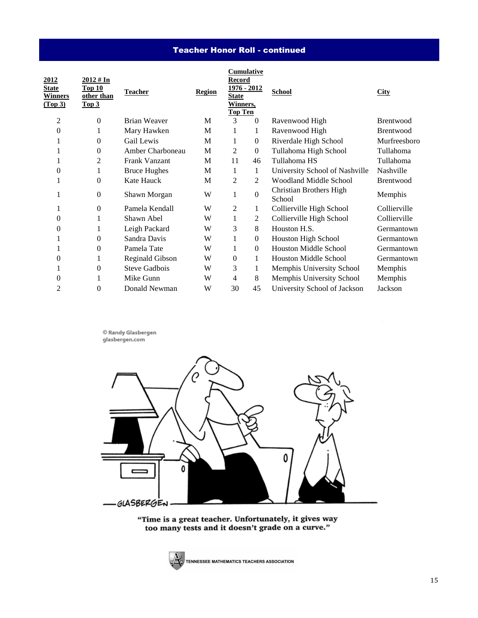# Teacher Honor Roll - continued

| 2012<br><b>State</b><br><b>Winners</b><br>(Top 3) | $2012 \# In$<br>Top 10<br>other than<br>Top <sub>3</sub> | <b>Teacher</b>         | <b>Region</b> | Cumulative<br>Record<br><u> 1976 - 2012 </u><br><b>State</b><br>Winners,<br><b>Top Ten</b> |                  | <b>School</b>                     | <b>City</b>      |
|---------------------------------------------------|----------------------------------------------------------|------------------------|---------------|--------------------------------------------------------------------------------------------|------------------|-----------------------------------|------------------|
| 2                                                 | $\mathbf{0}$                                             | <b>Brian Weaver</b>    | M             | 3                                                                                          | $\theta$         | Ravenwood High                    | <b>Brentwood</b> |
| 0                                                 | 1                                                        | Mary Hawken            | M             | 1                                                                                          | 1                | Ravenwood High                    | Brentwood        |
| 1                                                 | 0                                                        | Gail Lewis             | M             | 1                                                                                          | $\boldsymbol{0}$ | Riverdale High School             | Murfreesboro     |
| 1                                                 | 0                                                        | Amber Charboneau       | M             | 2                                                                                          | $\boldsymbol{0}$ | Tullahoma High School             | Tullahoma        |
| 1                                                 | 2                                                        | Frank Vanzant          | M             | 11                                                                                         | 46               | Tullahoma HS                      | Tullahoma        |
| 0                                                 | 1                                                        | <b>Bruce Hughes</b>    | M             | 1                                                                                          | 1                | University School of Nashville    | Nashville        |
|                                                   | 0                                                        | Kate Hauck             | M             | 2                                                                                          | 2                | <b>Woodland Middle School</b>     | <b>Brentwood</b> |
| 1                                                 | $\mathbf{0}$                                             | Shawn Morgan           | W             | 1                                                                                          | $\boldsymbol{0}$ | Christian Brothers High<br>School | Memphis          |
| 1                                                 | $\mathbf{0}$                                             | Pamela Kendall         | W             | 2                                                                                          | 1                | Collierville High School          | Collierville     |
| 0                                                 | 1                                                        | Shawn Abel             | W             | 1                                                                                          | 2                | Collierville High School          | Collierville     |
| 0                                                 | 1                                                        | Leigh Packard          | W             | 3                                                                                          | 8                | Houston H.S.                      | Germantown       |
| 1                                                 | 0                                                        | Sandra Davis           | W             | 1                                                                                          | $\boldsymbol{0}$ | Houston High School               | Germantown       |
| T                                                 | $\boldsymbol{0}$                                         | Pamela Tate            | W             |                                                                                            | $\boldsymbol{0}$ | <b>Houston Middle School</b>      | Germantown       |
| 0                                                 | 1                                                        | <b>Reginald Gibson</b> | W             | $\overline{0}$                                                                             | $\mathbf{1}$     | <b>Houston Middle School</b>      | Germantown       |
|                                                   | 0                                                        | <b>Steve Gadbois</b>   | W             | 3                                                                                          | $\mathbf{1}$     | Memphis University School         | Memphis          |
| 0                                                 | 1                                                        | Mike Gunn              | W             | 4                                                                                          | 8                | Memphis University School         | Memphis          |
| $\overline{2}$                                    | 0                                                        | Donald Newman          | W             | 30                                                                                         | 45               | University School of Jackson      | Jackson          |
|                                                   |                                                          |                        |               |                                                                                            |                  |                                   |                  |

 $\circledcirc$  Randy Glasbergen glasbergen.com



"Time is a great teacher. Unfortunately, it gives way<br>too many tests and it doesn't grade on a curve."

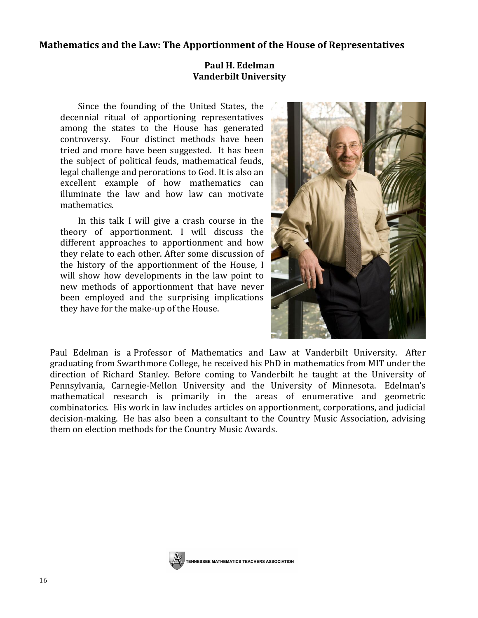# **Mathematics and the Law: The Apportionment of the House of Representatives**

# **Paul H. Edelman Vanderbilt University**

Since the founding of the United States, the decennial ritual of apportioning representatives among the states to the House has generated controversy. Four distinct methods have been tried and more have been suggested. It has been the subject of political feuds, mathematical feuds, legal challenge and perorations to God. It is also an excellent example of how mathematics can illuminate the law and how law can motivate mathematics.

In this talk I will give a crash course in the theory of apportionment. I will discuss the different approaches to apportionment and how they relate to each other. After some discussion of the history of the apportionment of the House, I will show how developments in the law point to new methods of apportionment that have never been employed and the surprising implications they have for the make-up of the House.



Paul Edelman is a Professor of Mathematics and Law at Vanderbilt University. After graduating from Swarthmore College, he received his PhD in mathematics from MIT under the direction of Richard Stanley. Before coming to Vanderbilt he taught at the University of Pennsylvania, Carnegie-Mellon University and the University of Minnesota. Edelman's mathematical research is primarily in the areas of enumerative and geometric combinatorics. His work in law includes articles on apportionment, corporations, and judicial decision-making. He has also been a consultant to the Country Music Association, advising them on election methods for the Country Music Awards.